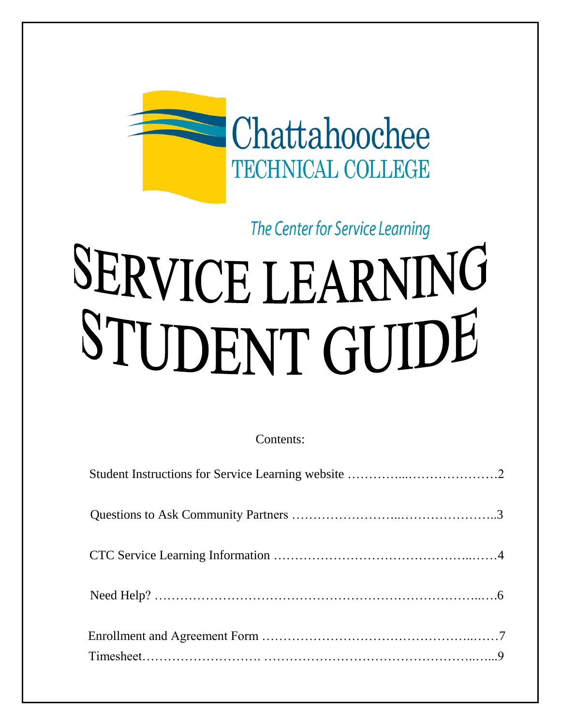

The Center for Service Learning

# SERVICE LEARNING STUDENT GUIDE

Contents: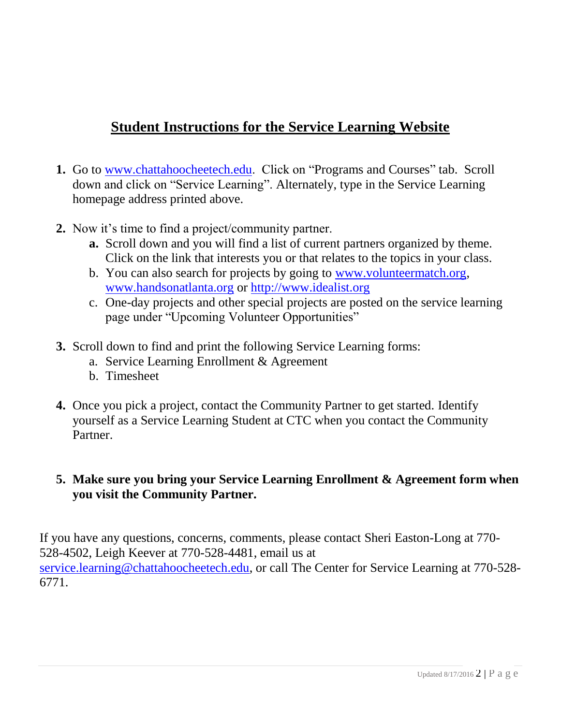# **Student Instructions for the Service Learning Website**

- **1.** Go to [www.chattahoocheetech.edu.](http://www.chattahoocheetech.edu/) Click on "Programs and Courses" tab. Scroll down and click on "Service Learning". Alternately, type in the Service Learning homepage address printed above.
- **2.** Now it's time to find a project/community partner.
	- **a.** Scroll down and you will find a list of current partners organized by theme. Click on the link that interests you or that relates to the topics in your class.
	- b. You can also search for projects by going to [www.volunteermatch.org,](http://www.volunteermatch.org/) [www.handsonatlanta.org](http://www.handsonatlanta.org/) or [http://www.idealist.org](http://www.idealist.org/)
	- c. One-day projects and other special projects are posted on the service learning page under "Upcoming Volunteer Opportunities"
- **3.** Scroll down to find and print the following Service Learning forms:
	- a. Service Learning Enrollment & Agreement
	- b. Timesheet
- **4.** Once you pick a project, contact the Community Partner to get started. Identify yourself as a Service Learning Student at CTC when you contact the Community Partner.

## **5. Make sure you bring your Service Learning Enrollment & Agreement form when you visit the Community Partner.**

If you have any questions, concerns, comments, please contact Sheri Easton-Long at 770- 528-4502, Leigh Keever at 770-528-4481, email us at [service.learning@chattahoocheetech.edu,](mailto:service.learning@chattahoocheetech.edu) or call The Center for Service Learning at 770-528-6771.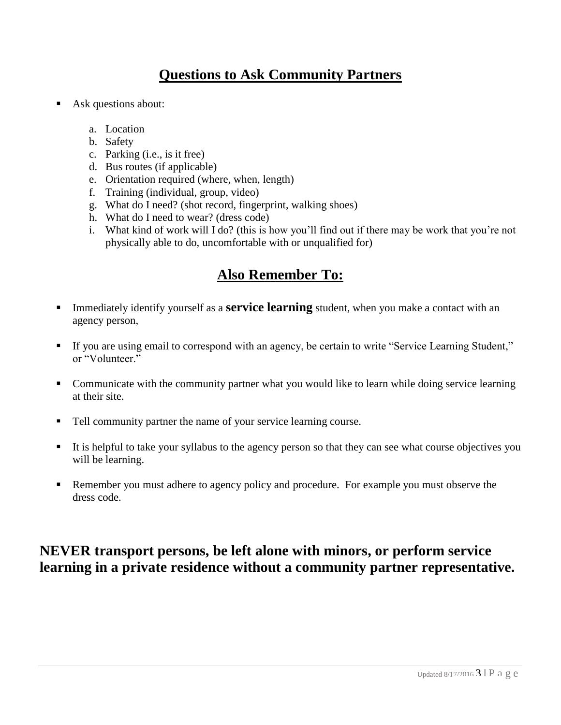## **Questions to Ask Community Partners**

- Ask questions about:
	- a. Location
	- b. Safety
	- c. Parking (i.e., is it free)
	- d. Bus routes (if applicable)
	- e. Orientation required (where, when, length)
	- f. Training (individual, group, video)
	- g. What do I need? (shot record, fingerprint, walking shoes)
	- h. What do I need to wear? (dress code)
	- i. What kind of work will I do? (this is how you'll find out if there may be work that you're not physically able to do, uncomfortable with or unqualified for)

## **Also Remember To:**

- **Immediately identify yourself as a <b>service learning** student, when you make a contact with an agency person,
- If you are using email to correspond with an agency, be certain to write "Service Learning Student," or "Volunteer"
- Communicate with the community partner what you would like to learn while doing service learning at their site.
- Tell community partner the name of your service learning course.
- It is helpful to take your syllabus to the agency person so that they can see what course objectives you will be learning.
- Remember you must adhere to agency policy and procedure. For example you must observe the dress code.

## **NEVER transport persons, be left alone with minors, or perform service learning in a private residence without a community partner representative.**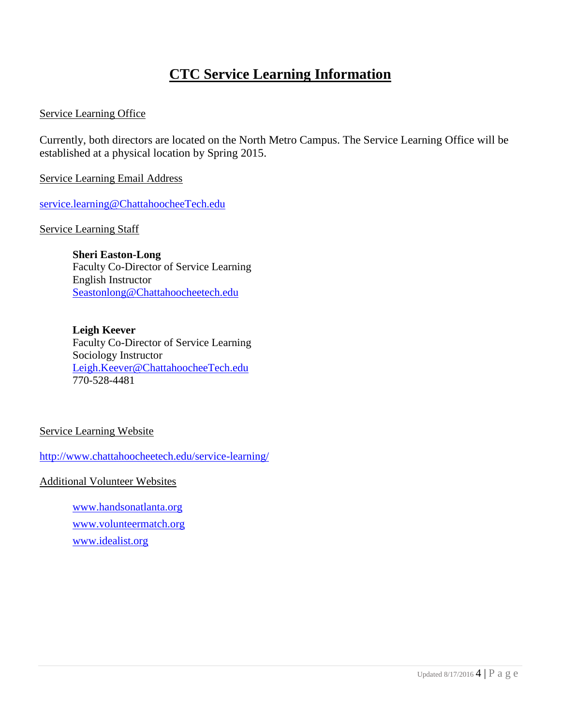## **CTC Service Learning Information**

#### Service Learning Office

Currently, both directors are located on the North Metro Campus. The Service Learning Office will be established at a physical location by Spring 2015.

Service Learning Email Address

[service.learning@ChattahoocheeTech.edu](mailto:service.learning@ChattahoocheeTech.edu)

Service Learning Staff

**Sheri Easton-Long** Faculty Co-Director of Service Learning English Instructor [Seastonlong@Chattahoocheetech.edu](mailto:Seastonlong@Chattahoocheetech.edu)

**Leigh Keever** Faculty Co-Director of Service Learning Sociology Instructor [Leigh.Keever@ChattahoocheeTech.edu](mailto:Leigh.Keever@ChattahoocheeTech.edu) 770-528-4481

#### Service Learning Website

<http://www.chattahoocheetech.edu/service-learning/>

Additional Volunteer Websites

[www.handsonatlanta.org](http://www.handsonatlanta.org/) [www.volunteermatch.org](http://www.volunteermatch.org/) [www.idealist.org](http://www.idealist.org/)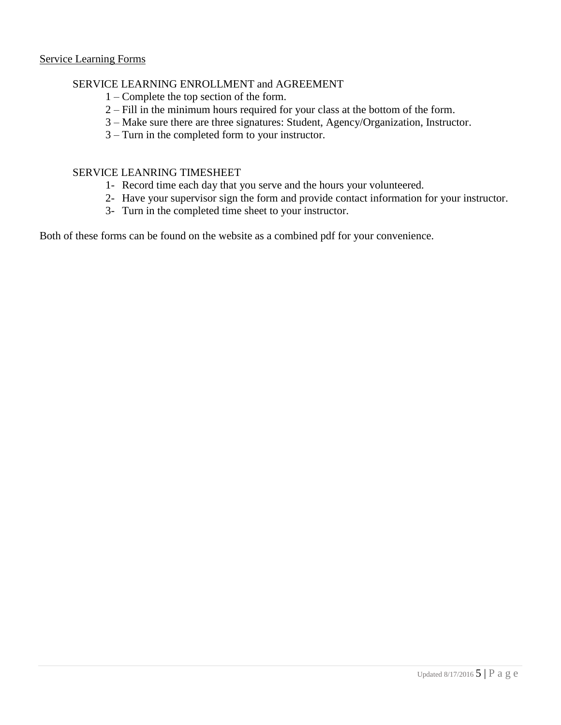#### SERVICE LEARNING ENROLLMENT and AGREEMENT

- 1 Complete the top section of the form.
- 2 Fill in the minimum hours required for your class at the bottom of the form.
- 3 Make sure there are three signatures: Student, Agency/Organization, Instructor.
- 3 Turn in the completed form to your instructor.

#### SERVICE LEANRING TIMESHEET

- 1- Record time each day that you serve and the hours your volunteered.
- 2- Have your supervisor sign the form and provide contact information for your instructor.
- 3- Turn in the completed time sheet to your instructor.

Both of these forms can be found on the website as a combined pdf for your convenience.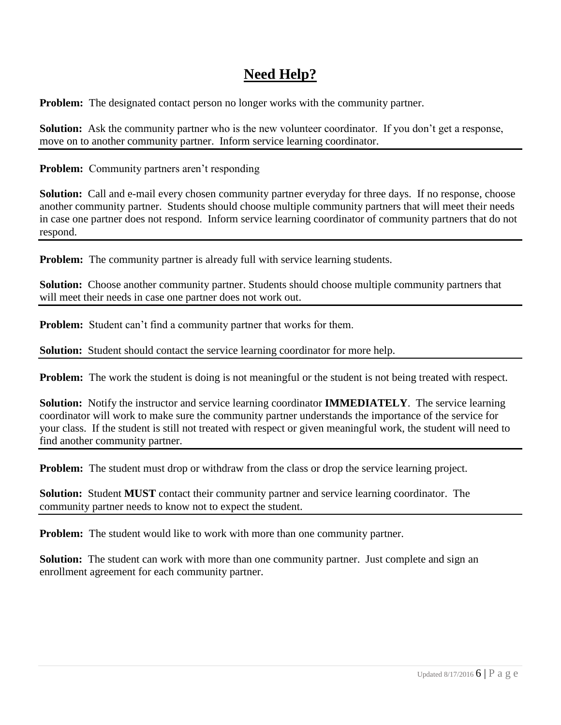# **Need Help?**

**Problem:** The designated contact person no longer works with the community partner.

**Solution:** Ask the community partner who is the new volunteer coordinator. If you don't get a response, move on to another community partner. Inform service learning coordinator.

**Problem:** Community partners aren't responding

**Solution:** Call and e-mail every chosen community partner everyday for three days. If no response, choose another community partner. Students should choose multiple community partners that will meet their needs in case one partner does not respond. Inform service learning coordinator of community partners that do not respond.

**Problem:** The community partner is already full with service learning students.

**Solution:** Choose another community partner. Students should choose multiple community partners that will meet their needs in case one partner does not work out.

**Problem:** Student can't find a community partner that works for them.

**Solution:** Student should contact the service learning coordinator for more help.

**Problem:** The work the student is doing is not meaningful or the student is not being treated with respect.

**Solution:** Notify the instructor and service learning coordinator **IMMEDIATELY**. The service learning coordinator will work to make sure the community partner understands the importance of the service for your class. If the student is still not treated with respect or given meaningful work, the student will need to find another community partner.

**Problem:** The student must drop or withdraw from the class or drop the service learning project.

**Solution:** Student **MUST** contact their community partner and service learning coordinator. The community partner needs to know not to expect the student.

**Problem:** The student would like to work with more than one community partner.

**Solution:** The student can work with more than one community partner. Just complete and sign an enrollment agreement for each community partner.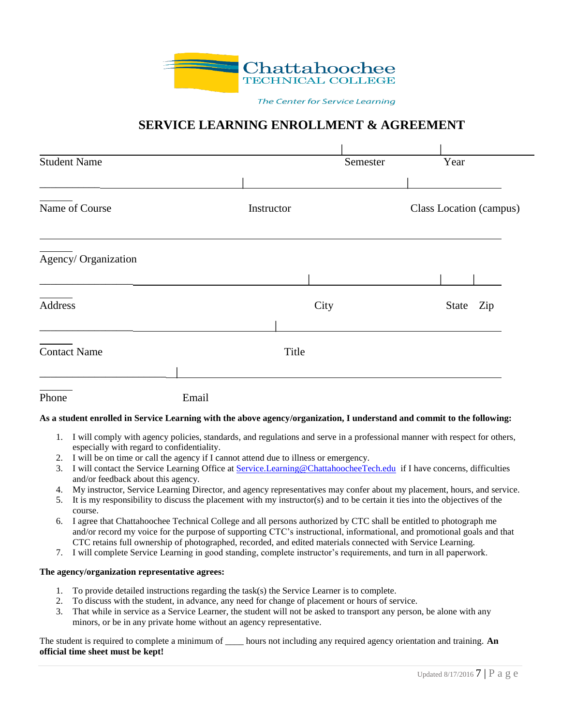

The Center for Service Learning

### **SERVICE LEARNING ENROLLMENT & AGREEMENT**

| <b>Student Name</b> |       |            | Semester |                         | Year      |  |
|---------------------|-------|------------|----------|-------------------------|-----------|--|
| Name of Course      |       | Instructor |          | Class Location (campus) |           |  |
| Agency/Organization |       |            |          |                         |           |  |
| Address             |       | City       |          |                         | State Zip |  |
| <b>Contact Name</b> |       | Title      |          |                         |           |  |
| Phone               | Email |            |          |                         |           |  |

#### **As a student enrolled in Service Learning with the above agency/organization, I understand and commit to the following:**

- 1. I will comply with agency policies, standards, and regulations and serve in a professional manner with respect for others, especially with regard to confidentiality.
- 2. I will be on time or call the agency if I cannot attend due to illness or emergency.
- 3. I will contact the Service Learning Office at [Service.Learning@ChattahoocheeTech.edu](mailto:Service.Learning@ChattahoocheeTech.edu) if I have concerns, difficulties and/or feedback about this agency.
- 4. My instructor, Service Learning Director, and agency representatives may confer about my placement, hours, and service.
- 5. It is my responsibility to discuss the placement with my instructor(s) and to be certain it ties into the objectives of the course.
- 6. I agree that Chattahoochee Technical College and all persons authorized by CTC shall be entitled to photograph me and/or record my voice for the purpose of supporting CTC's instructional, informational, and promotional goals and that CTC retains full ownership of photographed, recorded, and edited materials connected with Service Learning.
- 7. I will complete Service Learning in good standing, complete instructor's requirements, and turn in all paperwork.

#### **The agency/organization representative agrees:**

- 1. To provide detailed instructions regarding the task(s) the Service Learner is to complete.
- 2. To discuss with the student, in advance, any need for change of placement or hours of service.
- 3. That while in service as a Service Learner, the student will not be asked to transport any person, be alone with any minors, or be in any private home without an agency representative.

The student is required to complete a minimum of \_\_\_\_\_ hours not including any required agency orientation and training. **An official time sheet must be kept!**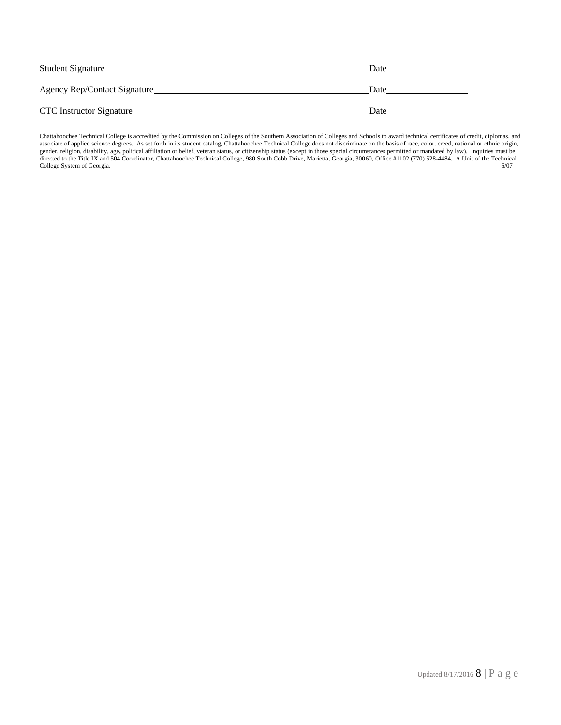| <b>Student Signature</b>     | Date |
|------------------------------|------|
| Agency Rep/Contact Signature | Date |
| CTC Instructor Signature     | Date |

Chattahoochee Technical College is accredited by the Commission on Colleges of the Southern Association of Colleges and Schools to award technical certificates of credit, diplomas, and associate of applied science degrees. As set forth in its student catalog, Chattahoochee Technical College does not discriminate on the basis of race, color, creed, national or ethnic origin, gender, religion, disability, age**,** political affiliation or belief, veteran status, or citizenship status (except in those special circumstances permitted or mandated by law). Inquiries must be directed to the Title IX and 504 Coordinator, Chattahoochee Technical College, 980 South Cobb Drive, Marietta, Georgia, 30060, Office #1102 (770) 528-4484. A Unit of the Technical College System of Georgia. 6/07